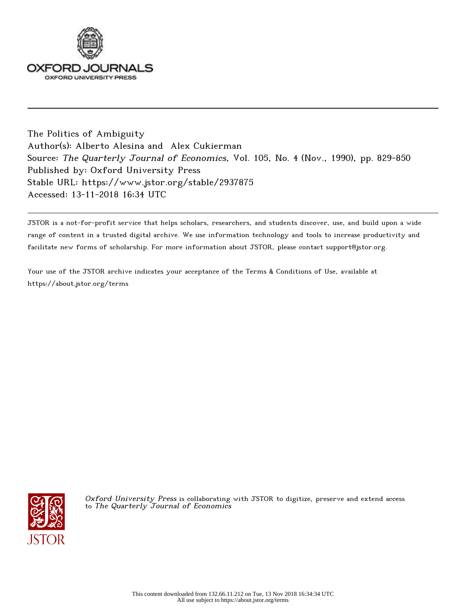

The Politics of Ambiguity Author(s): Alberto Alesina and Alex Cukierman Source: The Quarterly Journal of Economics, Vol. 105, No. 4 (Nov., 1990), pp. 829-850 Published by: Oxford University Press Stable URL: https://www.jstor.org/stable/2937875 Accessed: 13-11-2018 16:34 UTC

JSTOR is a not-for-profit service that helps scholars, researchers, and students discover, use, and build upon a wide range of content in a trusted digital archive. We use information technology and tools to increase productivity and facilitate new forms of scholarship. For more information about JSTOR, please contact support@jstor.org.

Your use of the JSTOR archive indicates your acceptance of the Terms & Conditions of Use, available at https://about.jstor.org/terms



Oxford University Press is collaborating with JSTOR to digitize, preserve and extend access to The Quarterly Journal of Economics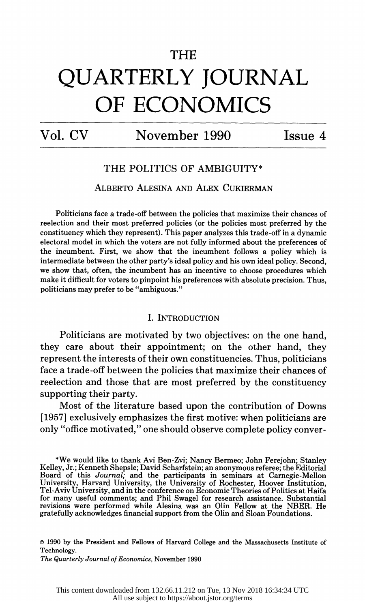# THE QUARTERLY JOURNAL OF ECONOMICS

Vol. CV November 1990 Issue 4

# THE POLITICS OF AMBIGUITY\*

ALBERTO ALESINA AND ALEX CUKIERMAN

 Politicians face a trade-off between the policies that maximize their chances of reelection and their most preferred policies (or the policies most preferred by the constituency which they represent). This paper analyzes this trade-off in a dynamic electoral model in which the voters are not fully informed about the preferences of the incumbent. First, we show that the incumbent follows a policy which is intermediate between the other party's ideal policy and his own ideal policy. Second, we show that, often, the incumbent has an incentive to choose procedures which make it difficult for voters to pinpoint his preferences with absolute precision. Thus, politicians may prefer to be "ambiguous."

# I. INTRODUCTION

 Politicians are motivated by two objectives: on the one hand, they care about their appointment; on the other hand, they represent the interests of their own constituencies. Thus, politicians face a trade-off between the policies that maximize their chances of reelection and those that are most preferred by the constituency supporting their party.

 Most of the literature based upon the contribution of Downs [1957] exclusively emphasizes the first motive: when politicians are only "office motivated," one should observe complete policy conver-

 \*We would like to thank Avi Ben-Zvi; Nancy Bermeo; John Ferejohn; Stanley Kelley, Jr.; Kenneth Shepsle; David Scharfstein; an anonymous referee; the Editorial Board of this Journal; and the participants in seminars at Carnegie-Mellon University, Harvard University, the University of Rochester, Hoover Institution, Tel-Aviv University, and in the conference on Economic Theories of Politics at Haifa for many useful comments; and Phil Swagel for research a

 ? 1990 by the President and Fellows of Harvard College and the Massachusetts Institute of Technology.

The Quarterly Journal of Economics, November 1990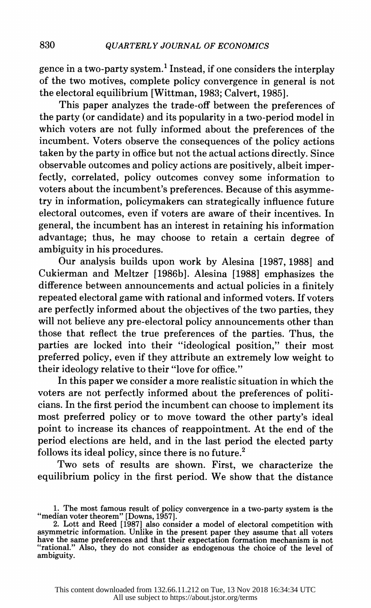gence in a two-party system.' Instead, if one considers the interplay of the two motives, complete policy convergence in general is not the electoral equilibrium [Wittman, 1983; Calvert, 1985].

 This paper analyzes the trade-off between the preferences of the party (or candidate) and its popularity in a two-period model in which voters are not fully informed about the preferences of the incumbent. Voters observe the consequences of the policy actions taken by the party in office but not the actual actions directly. Since observable outcomes and policy actions are positively, albeit imper fectly, correlated, policy outcomes convey some information to voters about the incumbent's preferences. Because of this asymme try in information, policymakers can strategically influence future electoral outcomes, even if voters are aware of their incentives. In general, the incumbent has an interest in retaining his information advantage; thus, he may choose to retain a certain degree of ambiguity in his procedures.

 Our analysis builds upon work by Alesina [1987, 1988] and Cukierman and Meltzer [1986b]. Alesina [1988] emphasizes the difference between announcements and actual policies in a finitely repeated electoral game with rational and informed voters. If voters are perfectly informed about the objectives of the two parties, they will not believe any pre-electoral policy announcements other than those that reflect the true preferences of the parties. Thus, the parties are locked into their "ideological position," their most preferred policy, even if they attribute an extremely low weight to their ideology relative to their "love for office."

 In this paper we consider a more realistic situation in which the voters are not perfectly informed about the preferences of politi cians. In the first period the incumbent can choose to implement its most preferred policy or to move toward the other party's ideal point to increase its chances of reappointment. At the end of the period elections are held, and in the last period the elected party follows its ideal policy, since there is no future.<sup>2</sup>

 Two sets of results are shown. First, we characterize the equilibrium policy in the first period. We show that the distance

 <sup>1.</sup> The most famous result of policy convergence in a two-party system is the "median voter theorem" [Downs, 1957].

 <sup>2.</sup> Lott and Reed [1987] also consider a model of electoral competition with asymmetric information. Unlike in the present paper they assume that all voters have the same preferences and that their expectation formation mechanism is not "rational." Also, they do not consider as endogenous the choice of the level of ambiguity.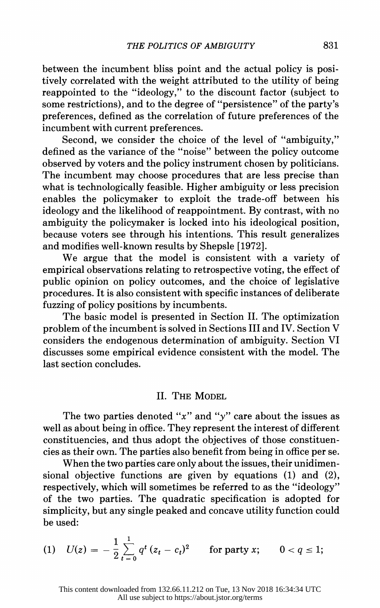between the incumbent bliss point and the actual policy is posi tively correlated with the weight attributed to the utility of being reappointed to the "ideology," to the discount factor (subject to some restrictions), and to the degree of "persistence" of the party's preferences, defined as the correlation of future preferences of the incumbent with current preferences.

 Second, we consider the choice of the level of "ambiguity," defined as the variance of the "noise" between the policy outcome observed by voters and the policy instrument chosen by politicians. The incumbent may choose procedures that are less precise than what is technologically feasible. Higher ambiguity or less precision enables the policymaker to exploit the trade-off between his ideology and the likelihood of reappointment. By contrast, with no ambiguity the policymaker is locked into his ideological position, because voters see through his intentions. This result generalizes and modifies well-known results by Shepsle [1972].

 We argue that the model is consistent with a variety of empirical observations relating to retrospective voting, the effect of public opinion on policy outcomes, and the choice of legislative procedures. It is also consistent with specific instances of deliberate fuzzing of policy positions by incumbents.

 The basic model is presented in Section II. The optimization problem of the incumbent is solved in Sections III and IV. Section V considers the endogenous determination of ambiguity. Section VI discusses some empirical evidence consistent with the model. The last section concludes.

### II. THE MODEL

The two parties denoted "x" and "y" care about the issues as well as about being in office. They represent the interest of different constituencies, and thus adopt the objectives of those constituen cies as their own. The parties also benefit from being in office per se.

 When the two parties care only about the issues, their unidimen sional objective functions are given by equations (1) and (2), respectively, which will sometimes be referred to as the "ideology" of the two parties. The quadratic specification is adopted for simplicity, but any single peaked and concave utility function could be used:

(1) 
$$
U(z) = -\frac{1}{2} \sum_{t=0}^{1} q^t (z_t - c_t)^2
$$
 for party *x*;  $0 < q \le 1$ ;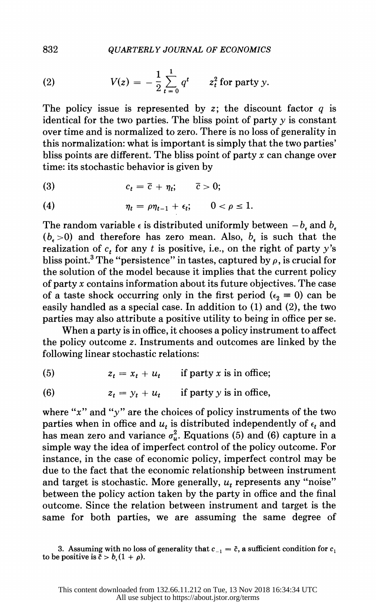(2) 
$$
V(z) = -\frac{1}{2} \sum_{t=0}^{1} q^{t} \qquad z_{t}^{2} \text{ for party } y.
$$

The policy issue is represented by z; the discount factor  $q$  is identical for the two parties. The bliss point of party  $\nu$  is constant over time and is normalized to zero. There is no loss of generality in this normalization: what is important is simply that the two parties' bliss points are different. The bliss point of party  $x$  can change over time: its stochastic behavior is given by

(3) 
$$
c_t = \overline{c} + \eta_t; \qquad \overline{c} > 0;
$$

(4) 
$$
\eta_t = \rho \eta_{t-1} + \epsilon_t; \qquad 0 < \rho \leq 1.
$$

The random variable  $\epsilon$  is distributed uniformly between  $-b_{\epsilon}$  and  $b_{\epsilon}$  $(b, >0)$  and therefore has zero mean. Also,  $b<sub>i</sub>$  is such that the realization of  $c$ , for any  $t$  is positive, i.e., on the right of party y's bliss point.<sup>3</sup> The "persistence" in tastes, captured by  $\rho$ , is crucial for the solution of the model because it implies that the current policy of party x contains information about its future objectives. The case of a taste shock occurring only in the first period ( $\epsilon_2 = 0$ ) can be easily handled as a special case. In addition to (1) and (2), the two parties may also attribute a positive utility to being in office per se.

 When a party is in office, it chooses a policy instrument to affect the policy outcome z. Instruments and outcomes are linked by the following linear stochastic relations:

(5)  $z_t = x_t + u_t$  if party x is in office;

(6) 
$$
z_t = y_t + u_t \quad \text{if party } y \text{ is in office,}
$$

where " $x$ " and " $y$ " are the choices of policy instruments of the two parties when in office and  $u_t$  is distributed independently of  $\epsilon_t$  and has mean zero and variance  $\sigma_u^2$ . Equations (5) and (6) capture in a simple way the idea of imperfect control of the policy outcome. For instance, in the case of economic policy, imperfect control may be due to the fact that the economic relationship between instrument and target is stochastic. More generally,  $u_t$  represents any "noise" between the policy action taken by the party in office and the final outcome. Since the relation between instrument and target is the same for both parties, we are assuming the same degree of

3. Assuming with no loss of generality that  $c_{-1} = \bar{c}$ , a sufficient condition for  $c_1$ to be positive is  $\bar{c} > b$ ,  $(1 + \rho)$ .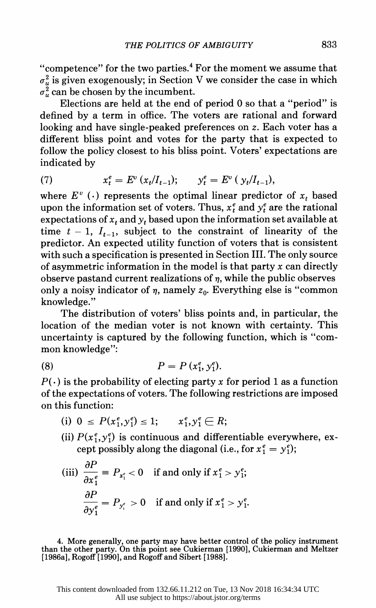"competence" for the two parties.<sup>4</sup> For the moment we assume that  $\sigma^2_\mu$  is given exogenously; in Section V we consider the case in which  $\sigma_u^2$  can be chosen by the incumbent.

 Elections are held at the end of period 0 so that a "period" is defined by a term in office. The voters are rational and forward looking and have single-peaked preferences on z. Each voter has a different bliss point and votes for the party that is expected to follow the policy closest to his bliss point. Voters' expectations are indicated by

(7) 
$$
x_t^e = E^v(x_t/I_{t-1}); \qquad y_t^e = E^v(y_t/I_{t-1}),
$$

where  $E^v$  (.) represents the optimal linear predictor of  $x_t$  based upon the information set of voters. Thus,  $x_t^e$  and  $y_t^e$  are the rational expectations of  $x_t$  and  $y_t$  based upon the information set available at time  $t-1$ ,  $I_{t-1}$ , subject to the constraint of linearity of the predictor. An expected utility function of voters that is consistent with such a specification is presented in Section III. The only source of asymmetric information in the model is that party  $x$  can directly observe pastand current realizations of  $\eta$ , while the public observes only a noisy indicator of  $\eta$ , namely  $z_0$ . Everything else is "common knowledge."

 The distribution of voters' bliss points and, in particular, the location of the median voter is not known with certainty. This uncertainty is captured by the following function, which is "com mon knowledge":

(8) 
$$
P = P(x_1^e, y_1^e).
$$

 $P(\cdot)$  is the probability of electing party x for period 1 as a function of the expectations of voters. The following restrictions are imposed on this function:

- (i)  $0 \leq P(x_1^e, y_1^e) \leq 1; \quad x_1^e, y_1^e \in R;$
- (ii)  $P(x_1^e, y_1^e)$  is continuous and differentiable everywhere, except possibly along the diagonal (i.e., for  $x_1^e = y_1^e$ );

(iii) 
$$
\frac{\partial P}{\partial x_1^e} = P_{x_1^e} < 0 \quad \text{if and only if } x_1^e > y_1^e;
$$

$$
\frac{\partial P}{\partial y_1^e} = P_{y_1^e} > 0 \quad \text{if and only if } x_1^e > y_1^e.
$$

 4. More generally, one party may have better control of the policy instrument than the other party. On this point see Cukierman [1990], Cukierman and Meltzer [1986a], Rogoff [1990], and Rogoff and Sibert [1988].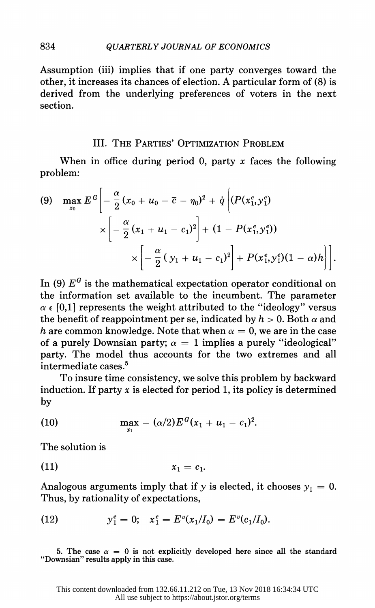Assumption (iii) implies that if one party converges toward the other, it increases its chances of election. A particular form of (8) is derived from the underlying preferences of voters in the next section.

## III. THE PARTIES' OPTIMIZATION PROBLEM

When in office during period 0, party  $x$  faces the following problem:

$$
(9) \quad \max_{x_0} E^G \left[ -\frac{\alpha}{2} (x_0 + u_0 - \bar{c} - \eta_0)^2 + \dot{q} \left\{ (P(x_1^e, y_1^e)) \times \left[ -\frac{\alpha}{2} (x_1 + u_1 - c_1)^2 \right] + (1 - P(x_1^e, y_1^e)) \right\} \times \left[ -\frac{\alpha}{2} (y_1 + u_1 - c_1)^2 \right] + P(x_1^e, y_1^e)(1 - \alpha) h \right].
$$

In (9)  $E^G$  is the mathematical expectation operator conditional on the information set available to the incumbent. The parameter  $\alpha \in [0,1]$  represents the weight attributed to the "ideology" versus the benefit of reappointment per se, indicated by  $h > 0$ . Both  $\alpha$  and h are common knowledge. Note that when  $\alpha = 0$ , we are in the case of a purely Downsian party;  $\alpha = 1$  implies a purely "ideological" party. The model thus accounts for the two extremes and all intermediate cases.<sup>5</sup>

 To insure time consistency, we solve this problem by backward induction. If party  $x$  is elected for period 1, its policy is determined by

(10) 
$$
\max_{x_1} -(\alpha/2)E^G(x_1+u_1-c_1)^2.
$$

The solution is

(11)  $x_1 = c_1.$ 

Analogous arguments imply that if y is elected, it chooses  $y_1 = 0$ . Thus, by rationality of expectations,

(12) 
$$
y_1^e = 0; \quad x_1^e = E^v(x_1/I_0) = E^v(c_1/I_0).
$$

5. The case  $\alpha = 0$  is not explicitly developed here since all the standard "Downsian" results apply in this case.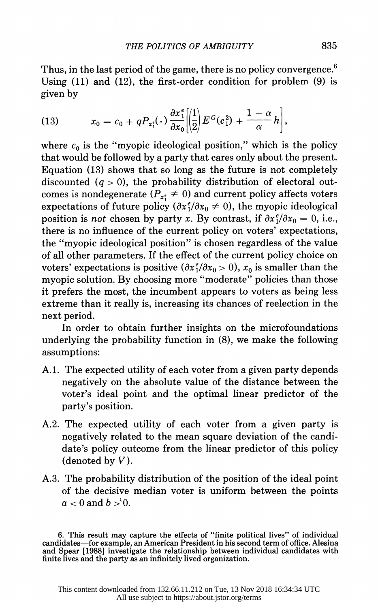Thus, in the last period of the game, there is no policy convergence. $6$  Using (11) and (12), the first-order condition for problem (9) is given by

(13) 
$$
x_0 = c_0 + qP_{x_1'}(\cdot)\frac{\partial x_1^e}{\partial x_0} \left[\left(\frac{1}{2}\right)E^G(c_1^2) + \frac{1-\alpha}{\alpha}h\right],
$$

where  $c_0$  is the "myopic ideological position," which is the policy that would be followed by a party that cares only about the present. Equation (13) shows that so long as the future is not completely discounted  $(q > 0)$ , the probability distribution of electoral outcomes is nondegenerate ( $P_{x_i^e} \neq 0$ ) and current policy affects voters expectations of future policy  $(\partial x_1^e/\partial x_0 \neq 0)$ , the myopic ideological position is not chosen by party x. By contrast, if  $\partial x_i^e/\partial x_0 = 0$ , i.e., there is no influence of the current policy on voters' expectations, the "myopic ideological position" is chosen regardless of the value of all other parameters. If the effect of the current policy choice on voters' expectations is positive  $(\partial x_1^e/\partial x_0 > 0)$ ,  $x_0$  is smaller than the myopic solution. By choosing more "moderate" policies than those it prefers the most, the incumbent appears to voters as being less extreme than it really is, increasing its chances of reelection in the next period.

 In order to obtain further insights on the microfoundations underlying the probability function in (8), we make the following assumptions:

- A.1. The expected utility of each voter from a given party depends negatively on the absolute value of the distance between the voter's ideal point and the optimal linear predictor of the party's position.
- A.2. The expected utility of each voter from a given party is negatively related to the mean square deviation of the candi date's policy outcome from the linear predictor of this policy (denoted by V).
- A.3. The probability distribution of the position of the ideal point of the decisive median voter is uniform between the points  $a < 0$  and  $b > 0$ .

<sup>6.</sup> This result may capture the effects of "finite political lives" of individual<br>candidates—for example, an American President in his second term of office. Alesina<br>and Spear [1988] investigate the relationship between ind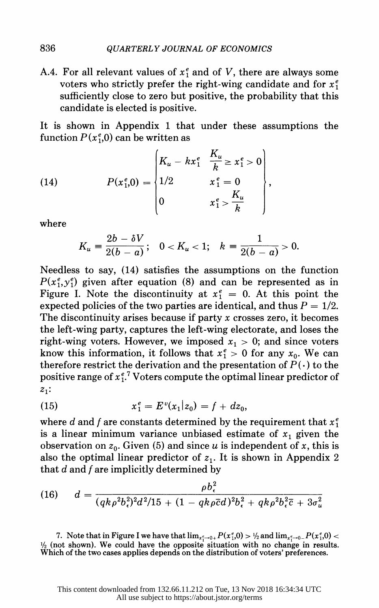A.4. For all relevant values of  $x_1^e$  and of V, there are always some voters who strictly prefer the right-wing candidate and for  $x_i^e$  sufficiently close to zero but positive, the probability that this candidate is elected is positive.

 It is shown in Appendix 1 that under these assumptions the function  $P(x_1^e,0)$  can be written as

(14) 
$$
P(x_1^e,0) = \begin{cases} K_u - kx_1^e & \frac{K_u}{k} \ge x_1^e > 0 \\ 1/2 & x_1^e = 0 \\ 0 & x_1^e > \frac{K_u}{k} \end{cases},
$$

where

$$
K_u = \frac{2b - \delta V}{2(b - a)}; \quad 0 < K_u < 1; \quad k = \frac{1}{2(b - a)} > 0.
$$

 Needless to say, (14) satisfies the assumptions on the function  $P(x_1^e, y_1^e)$  given after equation (8) and can be represented as in Figure I. Note the discontinuity at  $x_1^e = 0$ . At this point the expected policies of the two parties are identical, and thus  $P = 1/2$ . The discontinuity arises because if party  $x$  crosses zero, it becomes the left-wing party, captures the left-wing electorate, and loses the right-wing voters. However, we imposed  $x_1 > 0$ ; and since voters know this information, it follows that  $x_1^e > 0$  for any  $x_0$ . We can therefore restrict the derivation and the presentation of  $P(\cdot)$  to the positive range of  $x_i^e$ . Voters compute the optimal linear predictor of  $z_1$ :

(15) 
$$
x_1^e = E^v(x_1|z_0) = f + dz_0,
$$

where d and f are constants determined by the requirement that  $x_1^e$ is a linear minimum variance unbiased estimate of  $x_1$  given the observation on  $z_0$ . Given (5) and since u is independent of x, this is also the optimal linear predictor of  $z<sub>1</sub>$ . It is shown in Appendix 2 that  $d$  and  $f$  are implicitly determined by

(16) 
$$
d = \frac{\rho b_{\epsilon}^{2}}{(q k \rho^{2} b_{\epsilon}^{2})^{2} d^{2}/15 + (1 - q k \rho \bar{c} d)^{2} b_{\epsilon}^{2} + q k \rho^{2} b_{\epsilon}^{2} \bar{c} + 3 \sigma_{u}^{2}}
$$

7. Note that in Figure I we have that  $\lim_{x_i^e\to 0+} P(x_i^e,0) > \frac{1}{2}$  and  $\lim_{x_i^e\to 0-} P(x_i^e,0) <$  $1/2$  (not shown). We could have the opposite situation with no change in results. Which of the two cases applies depends on the distribution of voters' preferences.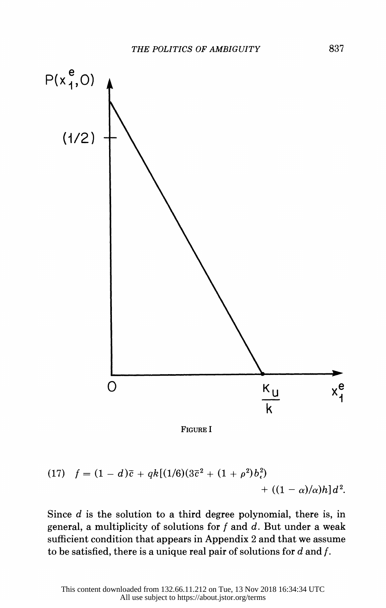



(17) 
$$
f = (1 - d)\bar{c} + qk[(1/6)(3\bar{c}^2 + (1 + \rho^2)b_\epsilon^2) + ((1 - \alpha)/\alpha)h]d^2.
$$

Since  $d$  is the solution to a third degree polynomial, there is, in general, a multiplicity of solutions for  $f$  and  $d$ . But under a weak sufficient condition that appears in Appendix 2 and that we assume to be satisfied, there is a unique real pair of solutions for  $d$  and  $f$ .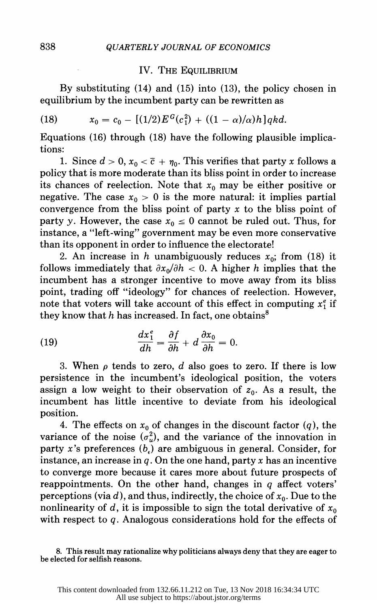# IV. THE EQUILIBRIUM

 By substituting (14) and (15) into (13), the policy chosen in equilibrium by the incumbent party can be rewritten as

(18) 
$$
x_0 = c_0 - [(1/2)E^G(c_1^2) + ((1 - \alpha)/\alpha)h]qkd.
$$

 Equations (16) through (18) have the following plausible implica tions:

1. Since  $d > 0$ ,  $x_0 < \overline{c} + \eta_0$ . This verifies that party x follows a policy that is more moderate than its bliss point in order to increase its chances of reelection. Note that  $x_0$  may be either positive or negative. The case  $x_0 > 0$  is the more natural: it implies partial convergence from the bliss point of party  $x$  to the bliss point of party y. However, the case  $x_0 \le 0$  cannot be ruled out. Thus, for instance, a "left-wing" government may be even more conservative than its opponent in order to influence the electorate!

2. An increase in h unambiguously reduces  $x_0$ ; from (18) it follows immediately that  $\partial x_0/\partial h < 0$ . A higher h implies that the incumbent has a stronger incentive to move away from its bliss point, trading off "ideology" for chances of reelection. However, note that voters will take account of this effect in computing  $x_i^e$  if they know that h has increased. In fact, one obtains<sup>8</sup>

(19) 
$$
\frac{dx_1^e}{dh} = \frac{\partial f}{\partial h} + d \frac{\partial x_0}{\partial h} = 0.
$$

3. When  $\rho$  tends to zero, d also goes to zero. If there is low persistence in the incumbent's ideological position, the voters assign a low weight to their observation of  $z_0$ . As a result, the incumbent has little incentive to deviate from his ideological position.

4. The effects on  $x_0$  of changes in the discount factor  $(q)$ , the variance of the noise  $(\sigma_u^2)$ , and the variance of the innovation in party x's preferences  $(b<sub>i</sub>)$  are ambiguous in general. Consider, for instance, an increase in  $q$ . On the one hand, party  $x$  has an incentive to converge more because it cares more about future prospects of reappointments. On the other hand, changes in  $q$  affect voters' perceptions (via d), and thus, indirectly, the choice of  $x_0$ . Due to the nonlinearity of d, it is impossible to sign the total derivative of  $x_0$ with respect to  $q$ . Analogous considerations hold for the effects of

 8. This result may rationalize why politicians always deny that they are eager to be elected for selfish reasons.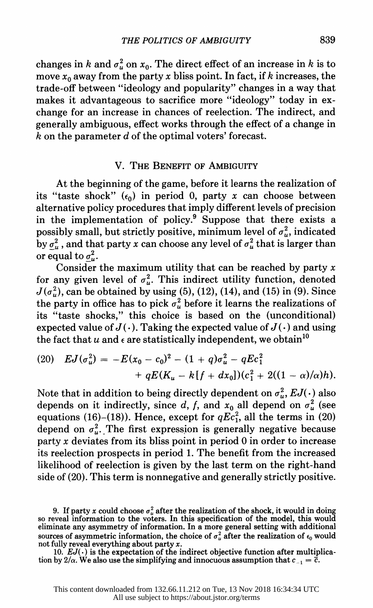changes in k and  $\sigma_u^2$  on  $x_0$ . The direct effect of an increase in k is to move  $x_0$  away from the party x bliss point. In fact, if k increases, the trade-off between "ideology and popularity" changes in a way that makes it advantageous to sacrifice more "ideology" today in ex change for an increase in chances of reelection. The indirect, and generally ambiguous, effect works through the effect of a change in  $k$  on the parameter  $d$  of the optimal voters' forecast.

#### V. THE BENEFIT OF AMBIGUITY

 At the beginning of the game, before it learns the realization of its "taste shock"  $(\epsilon_0)$  in period 0, party x can choose between alternative policy procedures that imply different levels of precision in the implementation of policy. $9$  Suppose that there exists a possibly small, but strictly positive, minimum level of  $\sigma_u^2$ , indicated by  $\sigma_u^2$ , and that party x can choose any level of  $\sigma_u^2$  that is larger than or equal to  $\sigma_u^2$ .

Consider the maximum utility that can be reached by party  $x$ for any given level of  $\sigma_n^2$ . This indirect utility function, denoted  $J(\sigma_u^2)$ , can be obtained by using (5), (12), (14), and (15) in (9). Since the party in office has to pick  $\sigma_u^2$  before it learns the realizations of its "taste shocks," this choice is based on the (unconditional) expected value of  $J(\cdot)$ . Taking the expected value of  $J(\cdot)$  and using the fact that u and  $\epsilon$  are statistically independent, we obtain<sup>10</sup>

(20) 
$$
EJ(\sigma_u^2) = -E(x_0 - c_0)^2 - (1 + q)\sigma_u^2 - qEc_1^2 + qE(K_u - k[f + dx_0])(c_1^2 + 2((1 - \alpha)/\alpha)h).
$$

Note that in addition to being directly dependent on  $\sigma_u^2$ ,  $EJ(\cdot)$  also depends on it indirectly, since d, f, and  $x_0$  all depend on  $\sigma_u^2$  (see equations (16)-(18)). Hence, except for  $qEc_1^2$ , all the terms in (20) depend on  $\sigma_u^2$ . The first expression is generally negative because party  $x$  deviates from its bliss point in period  $0$  in order to increase its reelection prospects in period 1. The benefit from the increased likelihood of reelection is given by the last term on the right-hand side of (20). This term is nonnegative and generally strictly positive.

10.  $EJ(.)$  is the expectation of the indirect objective function after multiplication by  $2/\alpha$ . We also use the simplifying and innocuous assumption that  $c_{-1} = \overline{c}$ .

<sup>9.</sup> If party x could choose  $\sigma_u^2$  after the realization of the shock, it would in doing so reveal information to the voters. In this specification of the model, this would eliminate any asymmetry of information. In a more general setting with additional sources of asymmetric information, the choice of  $\sigma_u^2$  after the realization of  $\epsilon_0$  would not fully reveal everything about party x.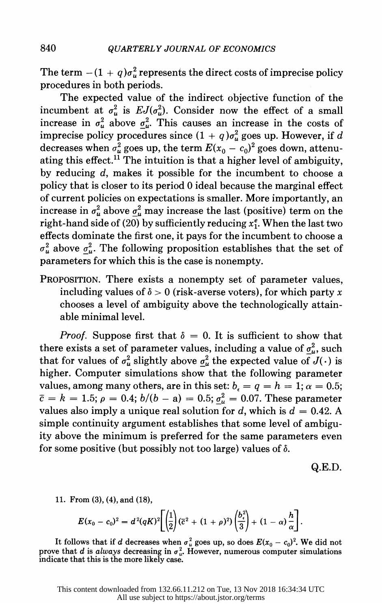The term  $-(1 + q)\sigma_u^2$  represents the direct costs of imprecise policy procedures in both periods.

 The expected value of the indirect objective function of the incumbent at  $\sigma_u^2$  is  $EJ(\sigma_u^2)$ . Consider now the effect of a small increase in  $\sigma_u^2$  above  $\sigma_u^2$ . This causes an increase in the costs of imprecise policy procedures since  $(1 + q)\sigma_u^2$  goes up. However, if d decreases when  $\sigma_u^2$  goes up, the term  $E(x_0 - c_0)^2$  goes down, attenuating this effect.<sup>11</sup> The intuition is that a higher level of ambiguity, by reducing d, makes it possible for the incumbent to choose a policy that is closer to its period 0 ideal because the marginal effect of current policies on expectations is smaller. More importantly, an increase in  $\sigma_u^2$  above  $\underline{\sigma}_u^2$  may increase the last (positive) term on the right-hand side of (20) by sufficiently reducing  $x_i^e$ . When the last two effects dominate the first one, it pays for the incumbent to choose a  $\sigma_u^2$  above  $\sigma_u^2$ . The following proposition establishes that the set of parameters for which this is the case is nonempty.

 PROPOSITION. There exists a nonempty set of parameter values, including values of  $\delta > 0$  (risk-averse voters), for which party x chooses a level of ambiguity above the technologically attain able minimal level.

*Proof.* Suppose first that  $\delta = 0$ . It is sufficient to show that there exists a set of parameter values, including a value of  $\sigma_u^2$ , such that for values of  $\sigma_u^2$  slightly above  $\sigma_u^2$  the expected value of  $J(\cdot)$  is higher. Computer simulations show that the following parameter values, among many others, are in this set:  $b_{\epsilon} = q = h = 1$ ;  $\alpha = 0.5$ ;  $\bar{c} = k = 1.5; \rho = 0.4; b/(b - a) = 0.5; \sigma_u^2 = 0.07.$  These parameter values also imply a unique real solution for d, which is  $d = 0.42$ . A simple continuity argument establishes that some level of ambigu ity above the minimum is preferred for the same parameters even for some positive (but possibly not too large) values of  $\delta$ .

Q.E.D.

11. From (3), (4), and (18),

$$
E(x_0-c_0)^2=d^2(qK)^2\left[\left(\frac{1}{2}\right)(\overline{c}^2+(1+\rho)^2)\left(\frac{b^2}{3}\right)+(1-\alpha)\frac{h}{\alpha}\right].
$$

It follows that if d decreases when  $\sigma_u^2$  goes up, so does  $E(x_0 - c_0)^2$ . We did not prove that d is always decreasing in  $\sigma_{\mu}^2$ . However, numerous computer simulations indicate that this is the more likely case.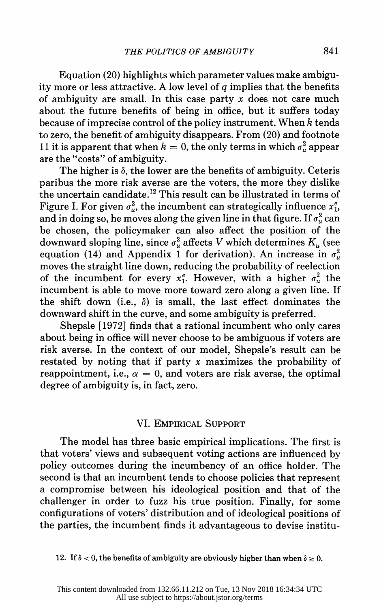Equation (20) highlights which parameter values make ambigu ity more or less attractive. A low level of  $q$  implies that the benefits of ambiguity are small. In this case party  $x$  does not care much about the future benefits of being in office, but it suffers today because of imprecise control of the policy instrument. When k tends to zero, the benefit of ambiguity disappears. From (20) and footnote 11 it is apparent that when  $k = 0$ , the only terms in which  $\sigma_u^2$  appear are the "costs" of ambiguity.

The higher is  $\delta$ , the lower are the benefits of ambiguity. Ceteris paribus the more risk averse are the voters, the more they dislike the uncertain candidate.<sup>12</sup> This result can be illustrated in terms of Figure I. For given  $\sigma_{\mu}^2$ , the incumbent can strategically influence  $x_1^e$ , and in doing so, he moves along the given line in that figure. If  $\sigma_u^2$  can be chosen, the policymaker can also affect the position of the downward sloping line, since  $\sigma_u^2$  affects V which determines  $K_u$  (see equation (14) and Appendix 1 for derivation). An increase in  $\sigma_u^2$  moves the straight line down, reducing the probability of reelection of the incumbent for every  $x_1^e$ . However, with a higher  $\sigma_u^2$  the incumbent is able to move more toward zero along a given line. If the shift down (i.e.,  $\delta$ ) is small, the last effect dominates the downward shift in the curve, and some ambiguity is preferred.

 Shepsle [1972] finds that a rational incumbent who only cares about being in office will never choose to be ambiguous if voters are risk averse. In the context of our model, Shepsle's result can be restated by noting that if party x maximizes the probability of reappointment, i.e.,  $\alpha = 0$ , and voters are risk averse, the optimal degree of ambiguity is, in fact, zero.

# VI. EMPIRICAL SUPPORT

 The model has three basic empirical implications. The first is that voters' views and subsequent voting actions are influenced by policy outcomes during the incumbency of an office holder. The second is that an incumbent tends to choose policies that represent a compromise between his ideological position and that of the challenger in order to fuzz his true position. Finally, for some configurations of voters' distribution and of ideological positions of the parties, the incumbent finds it advantageous to devise institu-

12. If  $\delta$  < 0, the benefits of ambiguity are obviously higher than when  $\delta \geq 0$ .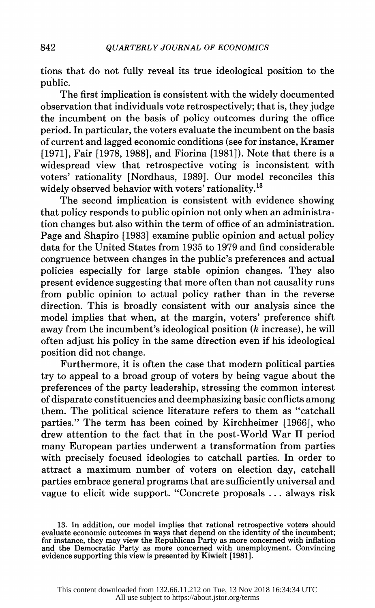tions that do not fully reveal its true ideological position to the public.

 The first implication is consistent with the widely documented observation that individuals vote retrospectively; that is, they judge the incumbent on the basis of policy outcomes during the office period. In particular, the voters evaluate the incumbent on the basis of current and lagged economic conditions (see for instance, Kramer [1971], Fair [1978, 1988], and Fiorina [1981]). Note that there is a widespread view that retrospective voting is inconsistent with voters' rationality [Nordhaus, 1989]. Our model reconciles this widely observed behavior with voters' rationality.<sup>13</sup>

 The second implication is consistent with evidence showing that policy responds to public opinion not only when an administra tion changes but also within the term of office of an administration. Page and Shapiro [1983] examine public opinion and actual policy data for the United States from 1935 to 1979 and find considerable congruence between changes in the public's preferences and actual policies especially for large stable opinion changes. They also present evidence suggesting that more often than not causality runs from public opinion to actual policy rather than in the reverse direction. This is broadly consistent with our analysis since the model implies that when, at the margin, voters' preference shift away from the incumbent's ideological position (k increase), he will often adjust his policy in the same direction even if his ideological position did not change.

 Furthermore, it is often the case that modern political parties try to appeal to a broad group of voters by being vague about the preferences of the party leadership, stressing the common interest of disparate constituencies and deemphasizing basic conflicts among them. The political science literature refers to them as "catchall parties." The term has been coined by Kirchheimer [1966], who drew attention to the fact that in the post-World War II period many European parties underwent a transformation from parties with precisely focused ideologies to catchall parties. In order to attract a maximum number of voters on election day, catchall parties embrace general programs that are sufficiently universal and vague to elicit wide support. "Concrete proposals ... always risk

 <sup>13.</sup> In addition, our model implies that rational retrospective voters should evaluate economic outcomes in ways that depend on the identity of the incumbent;<br>for instance, they may view the Republican Party as more concerned with inflation<br>and the Democratic Party as more concerned with unemploymen evidence supporting this view is presented by Kiwieit [1981].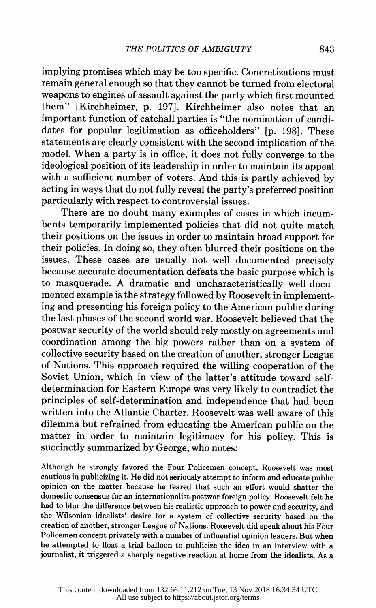implying promises which may be too specific. Concretizations must remain general enough so that they cannot be turned from electoral weapons to engines of assault against the party which first mounted them" [Kirchheimer, p. 197]. Kirchheimer also notes that an important function of catchall parties is "the nomination of candi dates for popular legitimation as officeholders" [p. 198]. These statements are clearly consistent with the second implication of the model. When a party is in office, it does not fully converge to the ideological position of its leadership in order to maintain its appeal with a sufficient number of voters. And this is partly achieved by acting in ways that do not fully reveal the party's preferred position particularly with respect to controversial issues.

 There are no doubt many examples of cases in which incum bents temporarily implemented policies that did not quite match their positions on the issues in order to maintain broad support for their policies. In doing so, they often blurred their positions on the issues. These cases are usually not well documented precisely because accurate documentation defeats the basic purpose which is to masquerade. A dramatic and uncharacteristically well-docu mented example is the strategy followed by Roosevelt in implement ing and presenting his foreign policy to the American public during the last phases of the second world war. Roosevelt believed that the postwar security of the world should rely mostly on agreements and coordination among the big powers rather than on a system of collective security based on the creation of another, stronger League of Nations. This approach required the willing cooperation of the Soviet Union, which in view of the latter's attitude toward self determination for Eastern Europe was very likely to contradict the principles of self-determination and independence that had been written into the Atlantic Charter. Roosevelt was well aware of this dilemma but refrained from educating the American public on the matter in order to maintain legitimacy for his policy. This is succinctly summarized by George, who notes:

 Although he strongly favored the Four Policemen concept, Roosevelt was most cautious in publicizing it. He did not seriously attempt to inform and educate public opinion on the matter because he feared that such an effort would shatter the domestic consensus for an internationalist postwar foreign policy. Roosevelt felt he had to blur the difference between his realistic approach to power and security, and the Wilsonian idealists' desire for a system of collective security based on the creation of another, stronger League of Nations. Roosevelt did speak about his Four Policemen concept privately with a number of influential opinion leaders. But when he attempted to float a trial balloon to publicize the idea in an interview with a journalist, it triggered a sharply negative reaction at home from the idealists. As a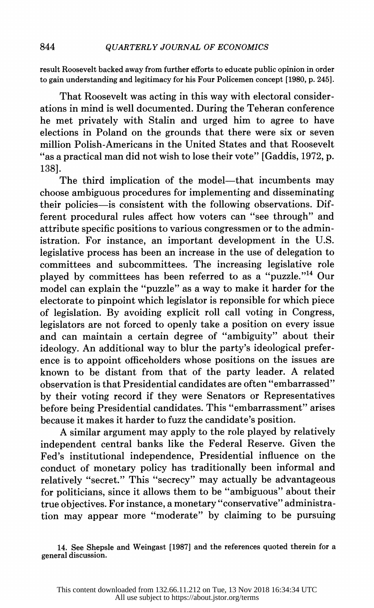result Roosevelt backed away from further efforts to educate public opinion in order to gain understanding and legitimacy for his Four Policemen concept [1980, p. 245].

 That Roosevelt was acting in this way with electoral consider ations in mind is well documented. During the Teheran conference he met privately with Stalin and urged him to agree to have elections in Poland on the grounds that there were six or seven million Polish-Americans in the United States and that Roosevelt "as a practical man did not wish to lose their vote" [Gaddis, 1972, p. 138].

The third implication of the model—that incumbents may choose ambiguous procedures for implementing and disseminating their policies-is consistent with the following observations. Dif ferent procedural rules affect how voters can "see through" and attribute specific positions to various congressmen or to the admin istration. For instance, an important development in the U.S. legislative process has been an increase in the use of delegation to committees and subcommittees. The increasing legislative role played by committees has been referred to as a "puzzle."'14 Our model can explain the "puzzle" as a way to make it harder for the electorate to pinpoint which legislator is reponsible for which piece of legislation. By avoiding explicit roll call voting in Congress, legislators are not forced to openly take a position on every issue and can maintain a certain degree of "ambiguity" about their ideology. An additional way to blur the party's ideological prefer ence is to appoint officeholders whose positions on the issues are known to be distant from that of the party leader. A related observation is that Presidential candidates are often "embarrassed" by their voting record if they were Senators or Representatives before being Presidential candidates. This "embarrassment" arises because it makes it harder to fuzz the candidate's position.

 A similar argument may apply to the role played by relatively independent central banks like the Federal Reserve. Given the Fed's institutional independence, Presidential influence on the conduct of monetary policy has traditionally been informal and relatively "secret." This "secrecy" may actually be advantageous for politicians, since it allows them to be "ambiguous" about their true objectives. For instance, a monetary "conservative" administra tion may appear more "moderate" by claiming to be pursuing

 14. See Shepsle and Weingast [1987] and the references quoted therein for a general discussion.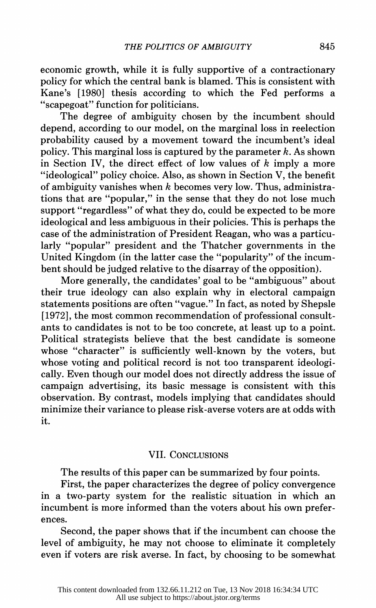economic growth, while it is fully supportive of a contractionary policy for which the central bank is blamed. This is consistent with Kane's [1980] thesis according to which the Fed performs a "scapegoat" function for politicians.

 The degree of ambiguity chosen by the incumbent should depend, according to our model, on the marginal loss in reelection probability caused by a movement toward the incumbent's ideal policy. This marginal loss is captured by the parameter  $k$ . As shown in Section IV, the direct effect of low values of  $k$  imply a more "ideological" policy choice. Also, as shown in Section V, the benefit of ambiguity vanishes when  $k$  becomes very low. Thus, administra tions that are "popular," in the sense that they do not lose much support "regardless" of what they do, could be expected to be more ideological and less ambiguous in their policies. This is perhaps the case of the administration of President Reagan, who was a particu larly "popular" president and the Thatcher governments in the United Kingdom (in the latter case the "popularity" of the incum bent should be judged relative to the disarray of the opposition).

 More generally, the candidates' goal to be "ambiguous" about their true ideology can also explain why in electoral campaign statements positions are often "vague." In fact, as noted by Shepsle [1972], the most common recommendation of professional consult ants to candidates is not to be too concrete, at least up to a point. Political strategists believe that the best candidate is someone whose "character" is sufficiently well-known by the voters, but whose voting and political record is not too transparent ideologi cally. Even though our model does not directly address the issue of campaign advertising, its basic message is consistent with this observation. By contrast, models implying that candidates should minimize their variance to please risk-averse voters are at odds with it.

## VII. CONCLUSIONS

The results of this paper can be summarized by four points.

 First, the paper characterizes the degree of policy convergence in a two-party system for the realistic situation in which an incumbent is more informed than the voters about his own prefer ences.

 Second, the paper shows that if the incumbent can choose the level of ambiguity, he may not choose to eliminate it completely even if voters are risk averse. In fact, by choosing to be somewhat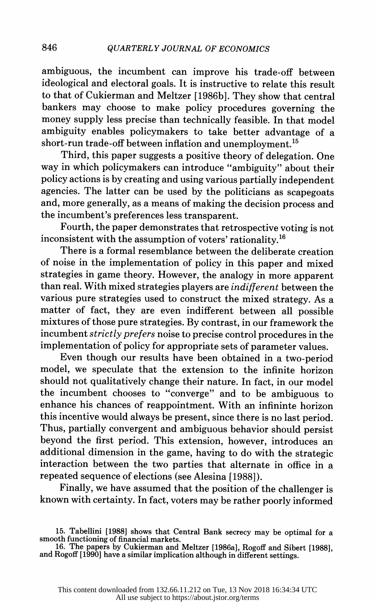ambiguous, the incumbent can improve his trade-off between ideological and electoral goals. It is instructive to relate this result to that of Cukierman and Meltzer [1986b]. They show that central bankers may choose to make policy procedures governing the money supply less precise than technically feasible. In that model ambiguity enables policymakers to take better advantage of a short-run trade-off between inflation and unemployment.<sup>15</sup>

 Third, this paper suggests a positive theory of delegation. One way in which policymakers can introduce "ambiguity" about their policy actions is by creating and using various partially independent agencies. The latter can be used by the politicians as scapegoats and, more generally, as a means of making the decision process and the incumbent's preferences less transparent.

 Fourth, the paper demonstrates that retrospective voting is not inconsistent with the assumption of voters' rationality.16

 There is a formal resemblance between the deliberate creation of noise in the implementation of policy in this paper and mixed strategies in game theory. However, the analogy in more apparent than real. With mixed strategies players are indifferent between the various pure strategies used to construct the mixed strategy. As a matter of fact, they are even indifferent between all possible mixtures of those pure strategies. By contrast, in our framework the incumbent strictly prefers noise to precise control procedures in the implementation of policy for appropriate sets of parameter values.

 Even though our results have been obtained in a two-period model, we speculate that the extension to the infinite horizon should not qualitatively change their nature. In fact, in our model the incumbent chooses to "converge" and to be ambiguous to enhance his chances of reappointment. With an infininte horizon this incentive would always be present, since there is no last period. Thus, partially convergent and ambiguous behavior should persist beyond the first period. This extension, however, introduces an additional dimension in the game, having to do with the strategic interaction between the two parties that alternate in office in a repeated sequence of elections (see Alesina [1988]).

 Finally, we have assumed that the position of the challenger is known with certainty. In fact, voters may be rather poorly informed

 <sup>15.</sup> Tabellini [1988] shows that Central Bank secrecy may be optimal for a smooth functioning of financial markets.

 <sup>16.</sup> The papers by Cukierman and Meltzer [1986a], Rogoff and Sibert [1988], and Rogoff [1990] have a similar implication although in different settings.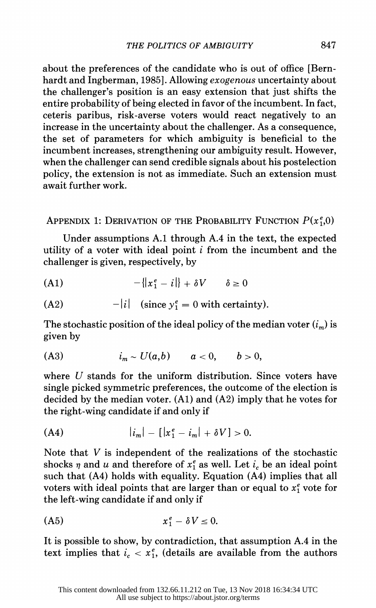about the preferences of the candidate who is out of office [Bern hardt and Ingberman, 1985]. Allowing exogenous uncertainty about the challenger's position is an easy extension that just shifts the entire probability of being elected in favor of the incumbent. In fact, ceteris paribus, risk-averse voters would react negatively to an increase in the uncertainty about the challenger. As a consequence, the set of parameters for which ambiguity is beneficial to the incumbent increases, strengthening our ambiguity result. However, when the challenger can send credible signals about his postelection policy, the extension is not as immediate. Such an extension must await further work.

APPENDIX 1: DERIVATION OF THE PROBABILITY FUNCTION  $P(x_1^e,0)$ 

 Under assumptions A.1 through A.4 in the text, the expected utility of a voter with ideal point  $i$  from the incumbent and the challenger is given, respectively, by

$$
(A1) \qquad \qquad -\{|x_1^e - i|\} + \delta V \qquad \delta \ge 0
$$

(A2) 
$$
-|i| \quad \text{(since } y_1^e = 0 \text{ with certainty)}.
$$

The stochastic position of the ideal policy of the median voter  $(i_m)$  is given by

(A3) 
$$
i_m \sim U(a,b)
$$
  $a < 0$ ,  $b > 0$ ,

where  $U$  stands for the uniform distribution. Since voters have single picked symmetric preferences, the outcome of the election is decided by the median voter. (Al) and (A2) imply that he votes for the right-wing candidate if and only if

(A4) 
$$
|i_m| - [|x_1^e - i_m| + \delta V] > 0.
$$

 Note that V is independent of the realizations of the stochastic shocks  $\eta$  and  $u$  and therefore of  $x_i^e$  as well. Let  $i_c$  be an ideal point such that (A4) holds with equality. Equation (A4) implies that all voters with ideal points that are larger than or equal to  $x_1^e$  vote for the left-wing candidate if and only if

$$
(A5) \t x_1^e - \delta V \leq 0.
$$

 It is possible to show, by contradiction, that assumption A.4 in the text implies that  $i_c < x_1^e$ , (details are available from the authors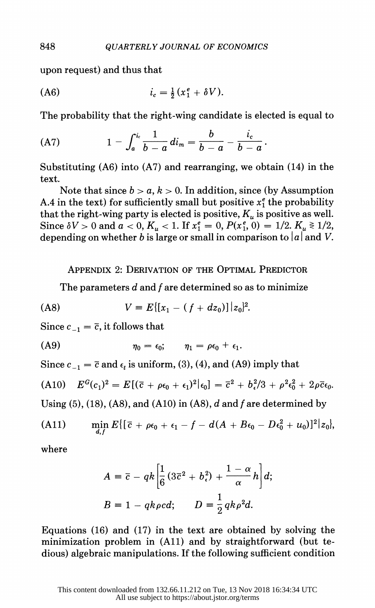upon request) and thus that

(A6) 
$$
i_c = \frac{1}{2}(x_1^e + \delta V).
$$

The probability that the right-wing candidate is elected is equal to

(A7) 
$$
1 - \int_{a}^{i_c} \frac{1}{b-a} \, di_m = \frac{b}{b-a} - \frac{i_c}{b-a}.
$$

 Substituting (A6) into (A7) and rearranging, we obtain (14) in the text.

Note that since  $b > a, k > 0$ . In addition, since (by Assumption A.4 in the text) for sufficiently small but positive  $x_1^e$  the probability that the right-wing party is elected is positive,  $K_u$  is positive as well. Since  $\delta V > 0$  and  $a < 0$ ,  $K_u < 1$ . If  $x_1^e = 0$ ,  $P(x_1^e, 0) = 1/2$ .  $K_u \ge 1/2$ , depending on whether b is large or small in comparison to |a| and V.

## APPENDIX 2: DERIVATION OF THE OPTIMAL PREDICTOR

The parameters d and f are determined so as to minimize

$$
(A8) \tV \equiv E\{[x_1 - (f + dz_0)] |z_0|^2.
$$

Since  $c_{-1} = \overline{c}$ , it follows that

$$
(A9) \hspace{1cm} \eta_0 = \epsilon_0; \hspace{1cm} \eta_1 = \rho \epsilon_0 + \epsilon_1.
$$

Since  $c_{-1} = \overline{c}$  and  $\epsilon_t$  is uniform, (3), (4), and (A9) imply that

(A10) 
$$
E^G(c_1)^2 = E[(\bar{c} + \rho \epsilon_0 + \epsilon_1)^2 | \epsilon_0] = \bar{c}^2 + b_{\epsilon}^2/3 + \rho^2 \epsilon_0^2 + 2\rho \bar{c} \epsilon_0.
$$

Using  $(5)$ ,  $(18)$ ,  $(AB)$ , and  $(A10)$  in  $(AB)$ , d and f are determined by

(A11) 
$$
\min_{d,f} E\{[\bar{c} + \rho \epsilon_0 + \epsilon_1 - f - d(A + B\epsilon_0 - D\epsilon_0^2 + u_0)]^2 | z_0\},\
$$

where

$$
A = \overline{c} - qk \left[ \frac{1}{6} \left( 3\overline{c}^2 + b_\epsilon^2 \right) + \frac{1-\alpha}{\alpha} h \right] d;
$$
  

$$
B = 1 - qk \rho c d; \qquad D = \frac{1}{2} qk \rho^2 d.
$$

 Equations (16) and (17) in the text are obtained by solving the minimization problem in (All) and by straightforward (but te dious) algebraic manipulations. If the following sufficient condition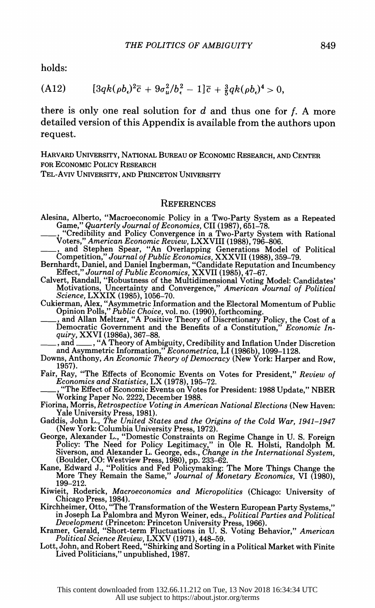holds:

$$
(A12) \qquad [3q k(\rho b_{\epsilon})^2 \bar{c} + 9\sigma_u^2/b_{\epsilon}^2 - 1] \bar{c} + \frac{3}{5}q k(\rho b_{\epsilon})^4 > 0,
$$

there is only one real solution for  $d$  and thus one for  $f$ . A more detailed version of this Appendix is available from the authors upon request.

 HARVARD UNIVERSITY, NATIONAL BUREAU OF ECONOMIC RESEARCH, AND CENTER FOR ECONOMIC POLICY RESEARCH

TEL-AVIV UNIVERSITY, AND PRINCETON UNIVERSITY

#### **REFERENCES**

- Alesina, Alberto, "Macroeconomic Policy in a Two-Party System as a Repeated Game," Quarterly Journal of Economics, CII (1987), 651-78.
- , "Credibility and Policy Convergence in a Two-Party System with Rational<br>Voters," American Economic Review, LXXVIII (1988), 796–806.<br>, and Stephen Spear, "An Overlapping Generations Model of Political<br>Competition," Journa
- 
- Bernhardt, Daniel, and Daniel Ingberman, "Candidate Reputation and Incumbency Effect," Journal of Public Economics, XXVII (1985), 47-67.
- Calvert, Randall, "Robustness of the Multidimensional Voting Model: Candidates' Motivations, Uncertainty and Convergence," American Journal of Political Science, LXXIX (1985),1056-70.
- Cukierman, Alex, "Asymmetric Information and the Electoral Momentum of Public<br>Opinion Polls," Public Choice, vol. no. (1990), forthcoming.<br>\_\_\_, and Allan Meltzer, "A Positive Theory of Discretionary Policy, the Cost of a<br>D
	- quiry, XXVI (1986a), 367-88.
- \_\_\_, and \_\_\_, "A Theory of Ambiguity, Credibility and Inflation Under Discretion<br>and Asymmetric Information," *Econometrica,* LI (1986b), 1099–1128.<br>Downs, Anthony, *An Economic Theory of Democracy* (New York: Harper and R
- 1957).
- Fair, Ray, "The Effects of Economic Events on Votes for President," Review of

*Economics and Statistics,* LX (1978), 195–72.<br>,...The Effect of Economic Events on Votes for President: 1988 Update," NBER Working Paper No. 2222, December 1988.

- Fiorina, Morris, Retrospective Voting in American National Elections (New Haven: Yale University Press, 1981).
- Gaddis, John L., The United States and the Origins of the Cold War, 1941-1947 (New York: Columbia University Press, 1972).
- George, Alexander L., "Domestic Constraints on Regime Change in U.S. Foreign<br>Policy: The Need for Policy Legitimacy," in Ole R. Holsti, Randolph M.<br>Siverson, and Alexander L. George, eds., Change in the International Syste (Boulder, CO: Westview Press, 1980), pp. 233-62.
- Kane, Edward J., "Politics and Fed Policymaking: The More Things Change the More They Remain the Same," Journal of Monetary Economics, VI (1980), 199-212.
- Kiwieit, Roderick, Macroeconomics and Micropolitics (Chicago: University of Chicago Press, 1984).
- Kirchheimer, Otto, "The Transformation of the Western European Party Systems," in Joseph La Palombra and Myron Weiner, eds., Political Parties and Political
- Development (Princeton: Princeton University Press, 1966). Kramer, Gerald, "Short-term Fluctuations in U. S. Voting Behavior," American Political Science Review, LXXV (1971), 448-59.
- Lott, John, and Robert Reed, "Shirking and Sorting in a Political Market with Finite Lived Politicians," unpublished, 1987.